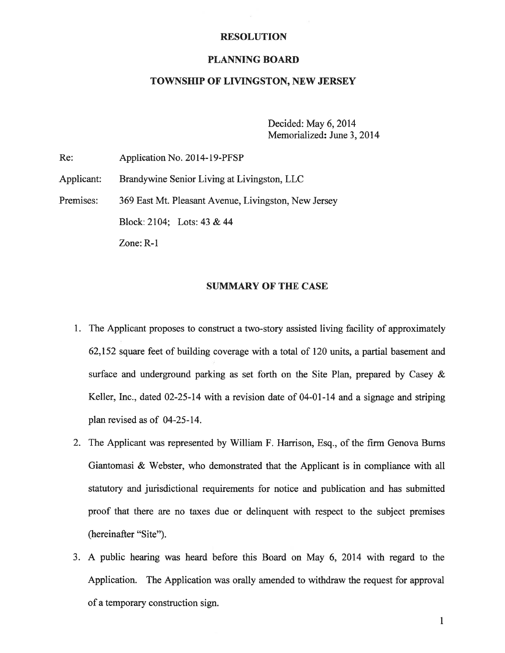#### RESOLUTION

### PLANNING BOARD

## TOWNSHIP OF LIVINGSTON, NEW JERSEY

Decided: May 6, 2014 Memorialized: June 3, 2014

Re: Application No. 2014-19-PFSP

Applicant: Brandywine Senior Living at Livingston, LLC

Premises: 369 East Mt. Pleasant Avenue, Livingston, New Jersey

Block: 2104; Lots: 43 & 44

Zone: R-1

## SUMMARY OF THE CASE

- 1. The Applicant proposes to construct <sup>a</sup> two-story assisted living facility of approximately 62,152 square feet of building coverage with <sup>a</sup> total of 120 units, <sup>a</sup> partial basement and surface and underground parking as set forth on the Site Plan, prepared by Casey & Keller, Inc., dated 02-25-14 with <sup>a</sup> revision date of 04-01-14 and <sup>a</sup> signage and striping plan revised as of 04-25-14.
- 2. The Applicant was represented by William F. Harrison, Esq., of the firm Genova Burns Giantomasi & Webster, who demonstrated that the Applicant is in compliance with all statutory and jurisdictional requirements for notice and publication and has submitted proof that there are no taxes due or delinquent with respec<sup>t</sup> to the subject premises (hereinafter "Site").
- 3. A public hearing was heard before this Board on May 6, 2014 with regard to the Application. The Application was orally amended to withdraw the reques<sup>t</sup> for approval of <sup>a</sup> temporary construction sign.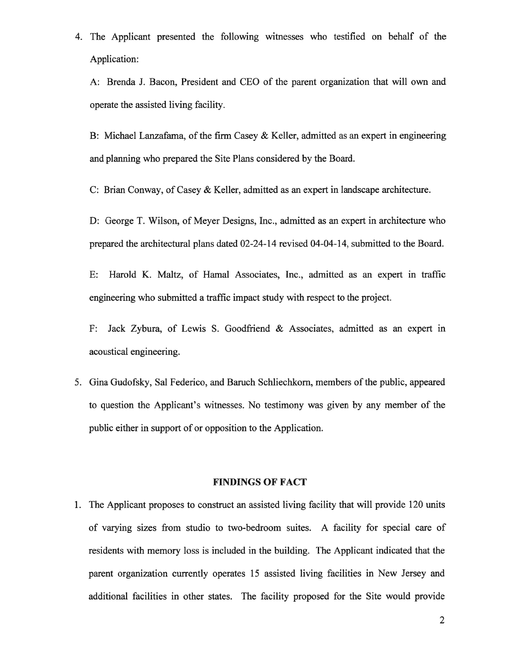4. The Applicant presented the following witnesses who testified on behalf of the Application:

A: Brenda J. Bacon, President and CEO of the paren<sup>t</sup> organization that will own and operate the assisted living facility.

B: Michael Lanzafama, of the firm Casey & Keller, admitted as an exper<sup>t</sup> in engineering and planning who prepared the Site Plans considered by the Board.

C: Brian Conway, of Casey & Keller, admitted as an exper<sup>t</sup> in landscape architecture.

D: George T. Wilson, of Meyer Designs, Inc., admitted as an exper<sup>t</sup> in architecture who prepared the architectural plans dated 02-24-14 revised 04-04-14, submitted to the Board.

E: Harold K. Maltz, of Hamal Associates, Inc., admitted as an exper<sup>t</sup> in traffic engineering who submitted <sup>a</sup> traffic impact study with respec<sup>t</sup> to the project.

F: Jack Zybura, of Lewis S. Goodfriend & Associates, admitted as an exper<sup>t</sup> in acoustical engineering.

5. Gina Gudofsky, Sal Federico, and Baruch Schliechkom, members of the public, appeared to question the Applicant's witnesses. No testimony was given by any member of the public either in suppor<sup>t</sup> of or opposition to the Application.

#### FINDINGS OF FACT

1. The Applicant proposes to construct an assisted living facility that will provide 120 units of varying sizes from studio to two-bedroom suites. A facility for special care of residents with memory loss is included in the building. The Applicant indicated that the paren<sup>t</sup> organization currently operates 15 assisted living facilities in New Jersey and additional facilities in other states. The facility proposed for the Site would provide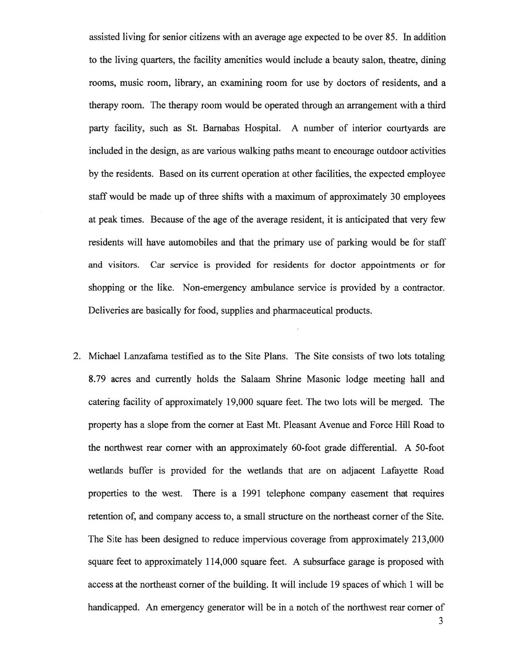assisted living for senior citizens with an average age expected to be over 85. In addition to the living quarters, the facility amenities would include <sup>a</sup> beauty salon, theatre, dining rooms, music room, library, an examining room for use by doctors of residents, and <sup>a</sup> therapy room. The therapy room would be operated through an arrangemen<sup>t</sup> with <sup>a</sup> third party facility, such as St. Barnabas Hospital. A number of interior courtyards are included in the design, as are various walking paths meant to encourage outdoor activities by the residents. Based on its current operation at other facilities, the expected employee staff would be made up of three shifts with <sup>a</sup> maximum of approximately 30 employees at peak times. Because of the age of the average resident, it is anticipated that very few residents will have automobiles and that the primary use of parking would be for staff and visitors. Car service is provided for residents for doctor appointments or for shopping or the like. Non-emergency ambulance service is provided by <sup>a</sup> contractor. Deliveries are basically for food, supplies and pharmaceutical products.

2. Michael Lanzafama testified as to the Site Plans. The Site consists of two lots totaling 8.79 acres and currently holds the Salaam Shrine Masonic lodge meeting hall and catering facility of approximately 19,000 square feet. The two lots will be merged. The property has <sup>a</sup> slope from the corner at East Mt. Pleasant Avenue and Force Hill Road to the northwest rear corner with an approximately 60-foot grade differential. A 50-foot wetlands buffer is provided for the wetlands that are on adjacent Lafayette Road properties to the west. There is <sup>a</sup> 1991 telephone company easement that requires retention of, and company access to, <sup>a</sup> small structure on the northeast corner of the Site. The Site has been designed to reduce impervious coverage from approximately 213,000 square feet to approximately 114,000 square feet. A subsurface garage is proposed with access at the northeast corner of the building. It will include 19 spaces of which 1 will be handicapped. An emergency generator will be in <sup>a</sup> notch of the northwest rear corner of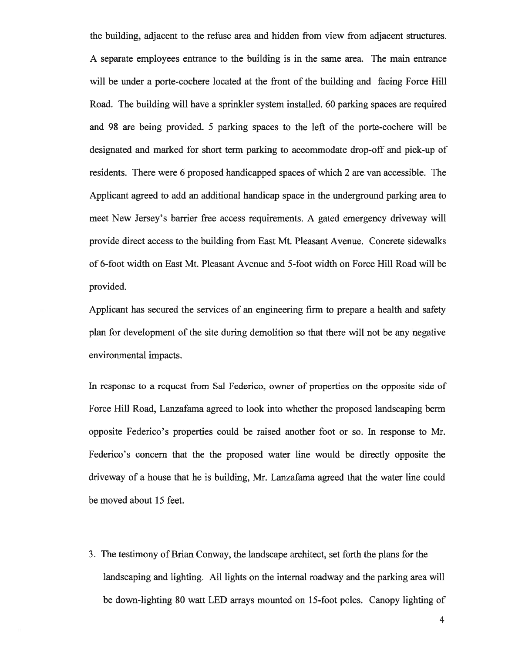the building, adjacent to the refuse area and hidden from view from adjacent structures. A separate employees entrance to the building is in the same area. The main entrance will be under <sup>a</sup> porte-cochere located at the front of the building and facing Force Hill Road. The building will have <sup>a</sup> sprinkler system installed. 60 parking spaces are required and 98 are being provided. 5 parking spaces to the left of the porte-cochere will be designated and marked for short term parking to accommodate drop-off and pick-up of residents. There were 6 proposed handicapped spaces of which 2 are van accessible. The Applicant agreed to add an additional handicap space in the underground parking area to meet New Jersey's barrier free access requirements. A gated emergency driveway will provide direct access to the building from East Mt. Pleasant Avenue. Concrete sidewalks of 6-foot width on East Mt. Pleasant Avenue and 5-foot width on Force Hill Road will be provided.

Applicant has secured the services of an engineering firm to prepare <sup>a</sup> health and safety plan for development of the site during demolition so that there will not be any negative environmental impacts.

In response to <sup>a</sup> reques<sup>t</sup> from Sal Federico, owner of properties on the opposite side of Force Hill Road, Lanzafama agreed to look into whether the proposed landscaping berm opposite Federico's properties could be raised another foot or so. In response to Mr. Federico's concern that the the proposed water line would be directly opposite the driveway of <sup>a</sup> house that he is building, Mr. Lanzafama agreed that the water line could be moved about 15 feet.

3. The testimony of Brian Conway, the landscape architect, set forth the plans for the landscaping and lighting. All lights on the internal roadway and the parking area will be down-lighting 80 watt LED arrays mounted on 15-foot poles. Canopy lighting of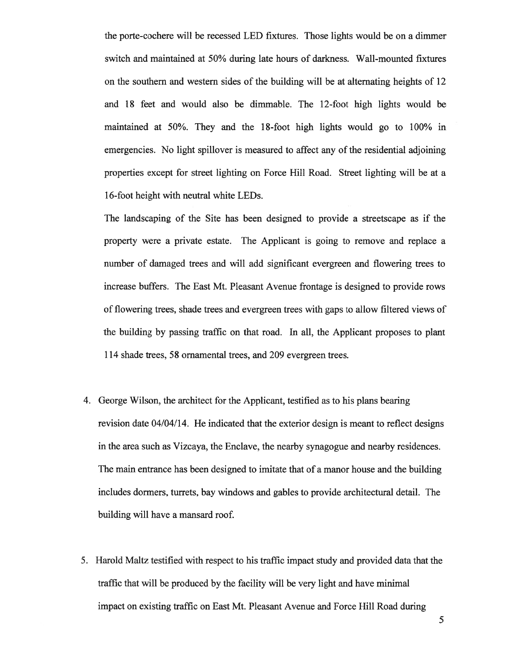the porte-cochere will be recessed LED fixtures. Those lights would be on <sup>a</sup> dimmer switch and maintained at 50% during late hours of darkness. Wall-mounted fixtures on the southern and western sides of the building will be at alternating heights of 12 and 18 feet and would also be dimmable. The 12-foot high lights would be maintained at 50%. They and the 18-foot high lights would go to 100% in emergencies. No light spillover is measured to affect any of the residential adjoining properties excep<sup>t</sup> for street lighting on Force Hill Road. Street lighting will be at <sup>a</sup> 16-foot height with neutral white LEDs.

The landscaping of the Site has been designed to provide <sup>a</sup> streetscape as if the property were <sup>a</sup> private estate. The Applicant is going to remove and replace <sup>a</sup> number of damaged trees and will add significant evergreen and flowering trees to increase buffers. The East Mt. Pleasant Avenue frontage is designed to provide rows of flowering trees, shade trees and evergreen trees with gaps to allow filtered views of the building by passing traffic on that road. In all, the Applicant proposes to plant 114 shade trees, 58 ornamental trees, and 209 evergreen trees.

- 4. George Wilson, the architect for the Applicant, testified as to his plans bearing revision date 04/04/14. He indicated that the exterior design is meant to reflect designs in the area such as Vizcaya, the Enclave, the nearby synagogue and nearby residences. The main entrance has been designed to imitate that of <sup>a</sup> manor house and the building includes dormers, turrets, bay windows and gables to provide architectural detail. The building will have <sup>a</sup> mansard roof.
- 5. Harold Maltz testified with respec<sup>t</sup> to his traffic impact study and provided data that the traffic that will be produced by the facility will be very light and have minimal impact on existing traffic on East Mt. Pleasant Avenue and Force Hill Road during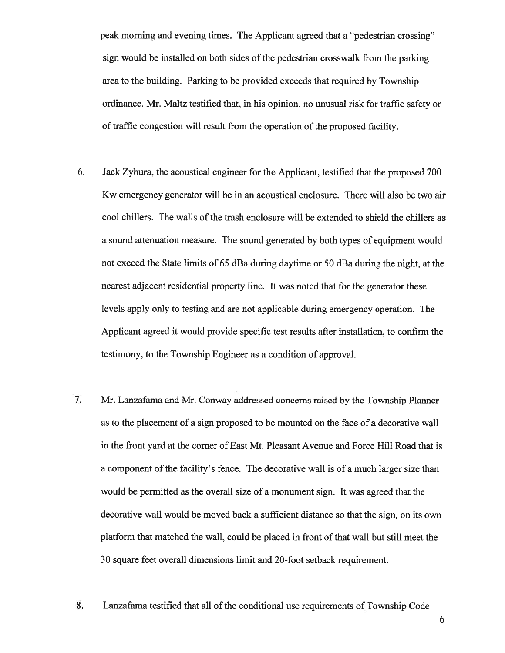peak morning and evening times. The Applicant agreed that <sup>a</sup> "pedestrian crossing" sign would be installed on both sides of the pedestrian crosswalk from the parking area to the building. Parking to be provided exceeds that required by Township ordinance. Mr. Maltz testified that, in his opinion, no unusual risk for traffic safety or of traffic congestion will result from the operation of the proposed facility.

- 6. Jack Zybura, the acoustical engineer for the Applicant, testified that the proposed 700 Kw emergency generator will be in an acoustical enclosure. There will also be two air cool chillers. The walls of the trash enclosure will be extended to shield the chillers as <sup>a</sup> sound attenuation measure. The sound generated by both types of equipment would not exceed the State limits of 65 dBa during daytime or 50 dBa during the night, at the nearest adjacent residential property line. It was noted that for the generator these levels apply only to testing and are not applicable during emergency operation. The Applicant agreed it would provide specific test results after installation, to confirm the testimony, to the Township Engineer as <sup>a</sup> condition of approval.
- 7. Mr. Lanzafama and Mr. Conway addressed concerns raised by the Township Planner as to the placement of <sup>a</sup> sign proposed to be mounted on the face of <sup>a</sup> decorative wall in the front yard at the corner of East Mt. Pleasant Avenue and Force Hill Road that is a component of the facility's fence. The decorative wall is of a much larger size than would be permitted as the overall size of <sup>a</sup> monument sign. It was agreed that the decorative wall would be moved back <sup>a</sup> sufficient distance so that the sign, on its own platform that matched the wall, could be placed in front of that wall but still meet the 30 square feet overall dimensions limit and 20-foot setback requirement.
- 8. Lanzafama testified that all of the conditional use requirements of Township Code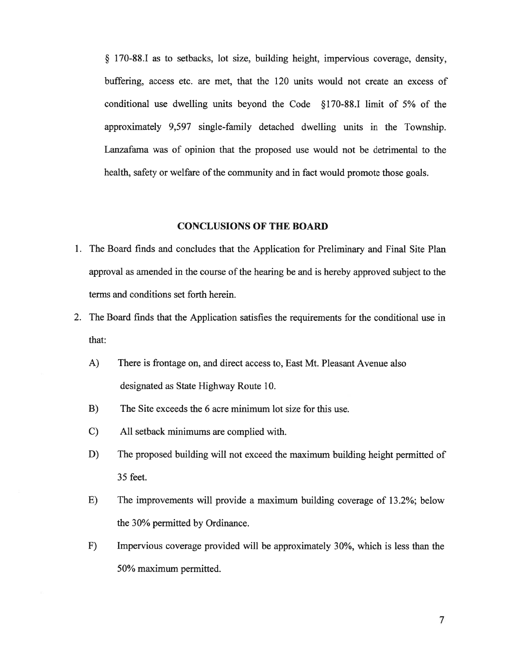§ 170-88.1 as to setbacks, lot size, building height, impervious coverage, density, buffering, access etc. are met, that the 120 units would not create an excess of conditional use dwelling units beyond the Code §170-88.1 limit of 5% of the approximately 9,597 single-family detached dwelling units in the Township. Lanzafama was of opinion that the proposed use would not be detrimental to the health, safety or welfare of the community and in fact would promote those goals.

#### CONCLUSIONS OF THE BOARD

- 1. The Board finds and concludes that the Application for Preliminary and Final Site Plan approval as amended in the course of the hearing be and is hereby approved subject to the terms and conditions set forth herein.
- 2. The Board finds that the Application satisfies the requirements for the conditional use in that:
	- A) There is frontage on, and direct access to, East Mt. Pleasant Avenue also designated as State Highway Route 10.
	- B) The Site exceeds the 6 acre minimum lot size for this use.
	- C) All setback minimums are complied with.
	- D) The proposed building will not exceed the maximum building height permitted of 35 feet.
	- E) The improvements will provide <sup>a</sup> maximum building coverage of 13.2%; below the 30% permitted by Ordinance.
	- F) Impervious coverage provided will be approximately 30%, which is less than the 50% maximum permitted.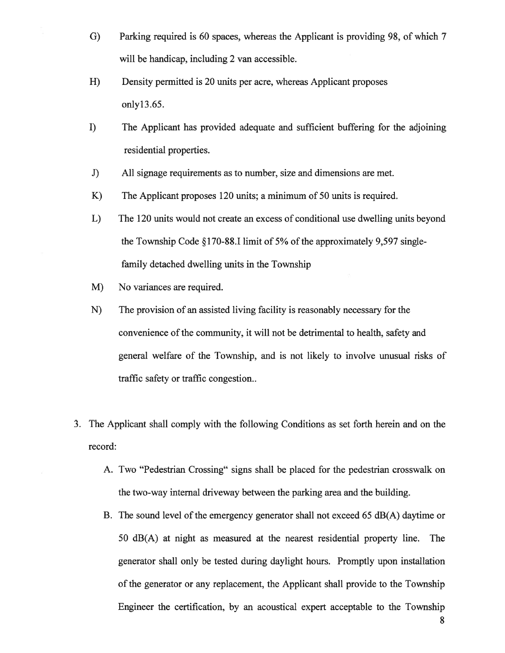- G) Parking required is 60 spaces, whereas the Applicant is providing 98, of which 7 will be handicap, including 2 van accessible.
- H) Density permitted is 20 units per acre, whereas Applicant proposes onlyl3.65.
- I) The Applicant has provided adequate and sufficient buffering for the adjoining residential properties.
- J) All signage requirements as to number, size and dimensions are met.
- K) The Applicant proposes 120 units; <sup>a</sup> minimum of 50 units is required.
- L) The 120 units would not create an excess of conditional use dwelling units beyond the Township Code  $\S170-88.1$  limit of 5% of the approximately 9,597 singlefamily detached dwelling units in the Township
- M) No variances are required.
- N) The provision of an assisted living facility is reasonably necessary for the convenience of the community, it will not be detrimental to health, safety and general welfare of the Township, and is not likely to involve unusual risks of traffic safety or traffic congestion..
- 3. The Applicant shall comply with the following Conditions as set forth herein and on the record:
	- A. Two "Pedestrian Crossing" signs shall be placed for the pedestrian crosswalk on the two-way internal driveway between the parking area and the building.
	- B. The sound level of the emergency generator shall not exceed 65  $dB(A)$  daytime or 50 dB(A) at night as measured at the nearest residential property line. The generator shall only be tested during daylight hours. Promptly upon installation of the generator or any replacement, the Applicant shall provide to the Township Engineer the certification, by an acoustical exper<sup>t</sup> acceptable to the Township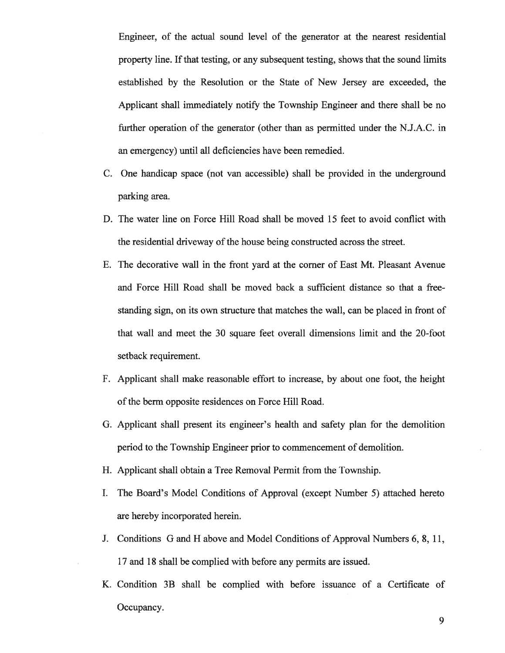Engineer, of the actual sound level of the generator at the nearest residential property line. If that testing, or any subsequent testing, shows that the sound limits established by the Resolution or the State of New Jersey are exceeded, the Applicant shall immediately notify the Township Engineer and there shall be no further operation of the generator (other than as permitted under the N.J.A.C. in an emergency) until all deficiencies have been remedied.

- C. One handicap space (not van accessible) shall be provided in the underground parking area.
- D. The water line on Force Hill Road shall be moved 15 feet to avoid conflict with the residential driveway of the house being constructed across the street.
- E. The decorative wall in the front yard at the corner of East Mt. Pleasant Avenue and Force Hill Road shall be moved back <sup>a</sup> sufficient distance so that <sup>a</sup> free standing sign, on its own structure that matches the wall, can be placed in front of that wall and meet the 30 square feet overall dimensions limit and the 20-foot setback requirement.
- F. Applicant shall make reasonable effort to increase, by about one foot, the height of the berm opposite residences on Force Hill Road.
- G. Applicant shall presen<sup>t</sup> its engineer's health and safety plan for the demolition period to the Township Engineer prior to commencement of demolition.
- H. Applicant shall obtain <sup>a</sup> Tree Removal Permit from the Township.
- I. The Board's Model Conditions of Approval (except Number 5) attached hereto are hereby incorporated herein.
- J. Conditions G and H above and Model Conditions of Approval Numbers 6, 8, 11, 17 and 18 shall be complied with before any permits are issued.
- K. Condition 3B shall be complied with before issuance of <sup>a</sup> Certificate of Occupancy.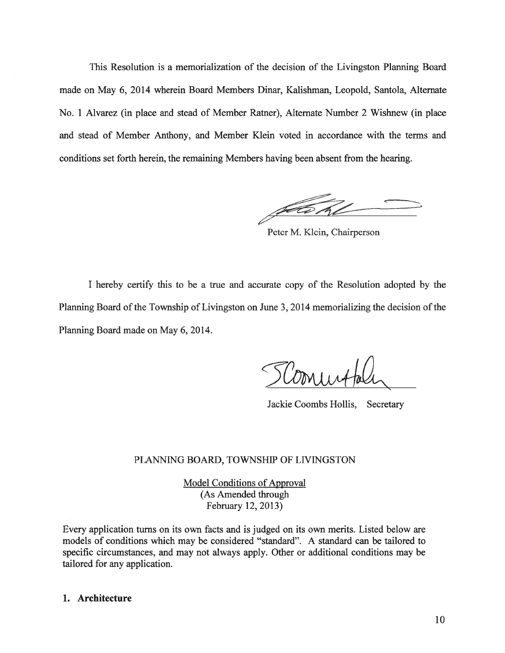This Resolution is <sup>a</sup> memorialization of the decision of the Livingston Planning Board made on May 6, 2014 wherein Board Members Dinar, Kalishman, Leopold, Santola, Alternate No. 1 Alvarez (in place and stead of Member Ratner), Alternate Number 2 Wishnew (in place and stead of Member Anthony, and Member Klein voted in accordance with the terms and conditions set forth herein, the remaining Members having been absent from the hearing.

Peter M. Klein, Chairperson

I hereby certify this to be <sup>a</sup> true and accurate copy of the Resolution adopted by the Planning Board of the Township of Livingston on June 3, 2014 memorializing the decision of the Planning Board made on May 6, 2014.

Jackie Coombs Hollis, Secretary

#### PLANNING BOARD, TOWNSHIP OF LIVINGSTON

Model Conditions of Approval (As Amended through February 12, 2013)

Every application turns on its own facts and is judged on its own merits. Listed below are models of conditions which may be considered "standard". A standard can be tailored to specific circumstances, and may not always apply. Other or additional conditions may be tailored for any application.

### 1. Architecture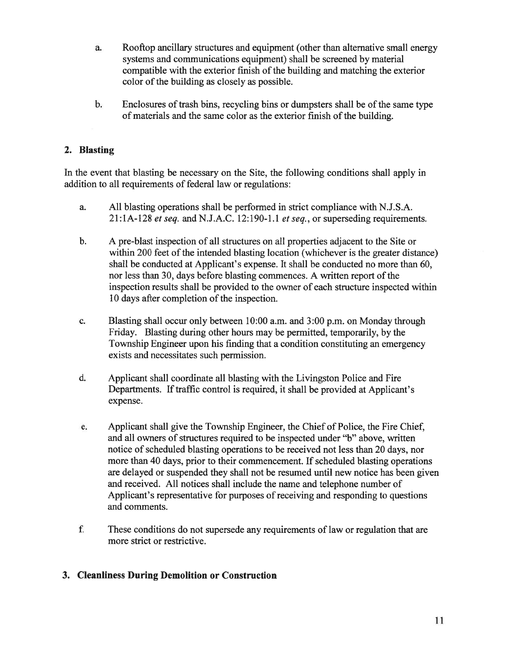- a. Rooftop ancillary structures and equipment (other than alternative small energy systems and communications equipment) shall be screened by material compatible with the exterior finish of the building and matching the exterior color of the building as closely as possible.
- b. Enclosures of trash bins, recycling bins or dumpsters shall be of the same type of materials and the same color as the exterior finish of the building.

# 2. Blasting

In the event that blasting be necessary on the Site, the following conditions shall apply in addition to all requirements of federal law or regulations:

- a. All blasting operations shall be performed in strict compliance with N.J.S.A.  $21:1A-128$  et seq. and N.J.A.C. 12:190-1.1 et seq., or superseding requirements.
- b. A pre-blast inspection of all structures on all properties adjacent to the Site or within 200 feet of the intended blasting location (whichever is the greater distance) shall be conducted at Applicant's expense. It shall be conducted no more than 60, nor less than 30, days before blasting commences. A written report of the inspection results shall be provided to the owner of each structure inspected within 10 days after completion of the inspection.
- c. Blasting shall occur only between 10:00 a.m. and 3:00 p.m. on Monday through Friday. Blasting during other hours may be permitted, temporarily, by the Township Engineer upon his finding that <sup>a</sup> condition constituting an emergency exists and necessitates such permission.
- d. Applicant shall coordinate all blasting with the Livingston Police and Fire Departments. If traffic control is required, it shall be provided at Applicant's expense.
- e. Applicant shall give the Township Engineer, the Chief of Police, the Fire Chief, and all owners of structures required to be inspected under "b" above, written notice of scheduled blasting operations to be received not less than 20 days, nor more than 40 days, prior to their commencement. If scheduled blasting operations are delayed or suspended they shall not be resumed until new notice has been given and received. All notices shall include the name and telephone number of Applicant's representative for purposes of receiving and responding to questions and comments.
- f. These conditions do not supersede any requirements of law or regulation that are more strict or restrictive.

# 3. Cleanliness During Demolition or Construction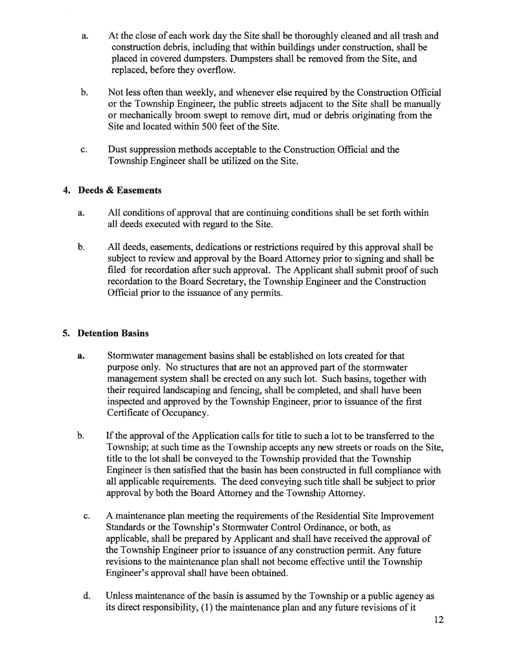- a. At the close of each work day the Site shall be thoroughly cleaned and all trash and construction debris, including that within buildings under construction, shall be placed in covered dumpsters. Dumpsters shall be removed from the Site, and replaced, before they overflow.
- b. Not less often than weekly, and whenever else required by the Construction Official or the Township Engineer, the public streets adjacent to the Site shall be manually or mechanically broom swep<sup>t</sup> to remove dirt, mud or debris originating from the Site and located within 500 feet of the Site.
- c. Dust suppression methods acceptable to the Construction Official and the Township Engineer shall be utilized on the Site.

# 4. Deeds & Easements

- a. All conditions of approval that are continuing conditions shall be set forth within all deeds executed with regard to the Site.
- b. All deeds, easements, dedications or restrictions required by this approval shall be subject to review and approval by the Board Attorney prior to signing and shall be filed for recordation after such approval. The Applicant shall submit proof of such recordation to the Board Secretary, the Township Engineer and the Construction Official prior to the issuance of any permits.

# 5. Detention Basins

- a. Stormwater managemen<sup>t</sup> basins shall be established on lots created for that purpose only. No structures that are not an approved part of the stormwater managemen<sup>t</sup> system shall be erected on any such lot. Such basins, together with their required landscaping and fencing, shall be completed, and shall have been inspected and approved by the Township Engineer, prior to issuance of the first Certificate of Occupancy.
- b. If the approval of the Application calls for title to such a lot to be transferred to the Township; at such time as the Township accepts any new streets or roads on the Site, title to the lot shall be conveyed to the Township provided that the Township Engineer is then satisfied that the basin has been constructed in full compliance with all applicable requirements. The deed conveying such title shall be subject to prior approval by both the Board Attorney and the Township Attorney.
	- c. A maintenance plan meeting the requirements of the Residential Site Improvement Standards or the Township's Stormwater Control Ordinance, or both, as applicable, shall be prepared by Applicant and shall have received the approval of the Township Engineer prior to issuance of any construction permit. Any future revisions to the maintenance <sup>p</sup>lan shall not become effective until the Township Engineer's approval shall have been obtained.
	- d. Unless maintenance of the basin is assumed by the Township or a public agency as its direct responsibility, (1) the maintenance plan and any future revisions of it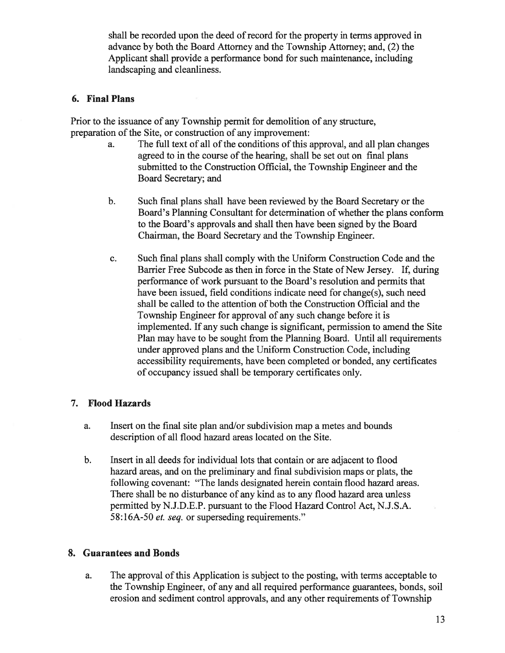shall be recorded upon the deed of record for the property in terms approved in advance by both the Board Attorney and the Township Attorney; and, (2) the Applicant shall provide <sup>a</sup> performance bond for such maintenance, including landscaping and cleanliness.

## 6. Final Plans

Prior to the issuance of any Township permit for demolition of any structure, preparation of the Site, or construction of any improvement:

- a. The full text of all of the conditions of this approval, and all plan changes agreed to in the course of the hearing, shall be set out on final plans submitted to the Construction Official, the Township Engineer and the Board Secretary; and
- b. Such final plans shall have been reviewed by the Board Secretary or the Board's Planning Consultant for determination of whether the plans conform to the Board's approvals and shall then have been signed by the Board Chairman, the Board Secretary and the Township Engineer.
- c. Such final plans shall comply with the Uniform Construction Code and the Barrier Free Subcode as then in force in the State of New Jersey. If, during performance of work pursuan<sup>t</sup> to the Board's resolution and permits that have been issued, field conditions indicate need for change(s), such need shall be called to the attention of both the Construction Official and the Township Engineer for approval of any such change before it is implemented. If any such change is significant, permission to amend the Site Plan may have to be sought from the Planning Board. Until all requirements under approved plans and the Uniform Construction Code, including accessibility requirements, have been completed or bonded, any certificates of occupancy issued shall be temporary certificates only.

## 7. Flood Hazards

- a. Insert on the final site plan and/or subdivision map <sup>a</sup> metes and bounds description of all flood hazard areas located on the Site.
- b. Insert in all deeds for individual lots that contain or are adjacent to flood hazard areas, and on the preliminary and final subdivision maps or plats, the following covenant: "The lands designated herein contain flood hazard areas. There shall be no disturbance of any kind as to any flood hazard area unless permitted by N.J.D.E.P. pursuan<sup>t</sup> to the Flood Hazard Control Act, N.J.S.A. 58:16A-50 et. seq. or superseding requirements."

# 8. Guarantees and Bonds

a. The approval of this Application is subject to the posting, with terms acceptable to the Township Engineer, of any and all required performance guarantees, bonds, soil erosion and sediment control approvals, and any other requirements of Township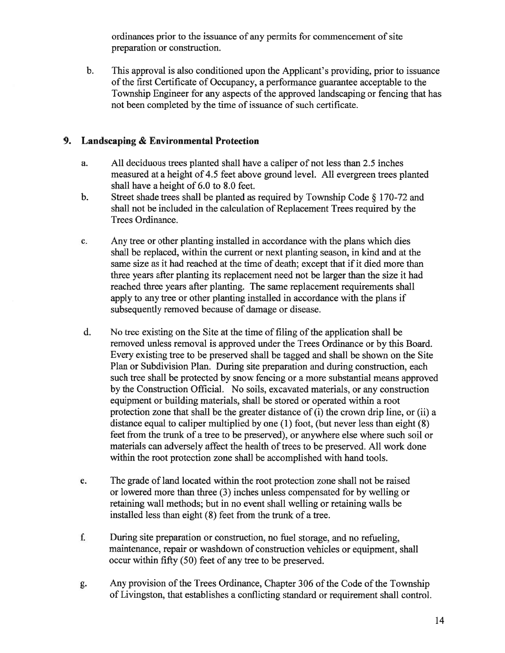ordinances prior to the issuance of any permits for commencement of site preparation or construction.

b. This approval is also conditioned upon the Applicant's providing, prior to issuance of the first Certificate of Occupancy, a performance guarantee acceptable to the Township Engineer for any aspects of the approved landscaping or fencing that has not been completed by the time of issuance of such certificate.

# 9. Landscaping & Environmental Protection

- a. All deciduous trees planted shall have <sup>a</sup> caliper of not less than 2.5 inches measured at <sup>a</sup> height of 4.5 feet above ground level. All evergreen trees planted shall have <sup>a</sup> height of 6.0 to 8.0 feet.
- b. Street shade trees shall be <sup>p</sup>lanted as required by Township Code § 170-72 and shall not be included in the calculation of Replacement Trees required by the Trees Ordinance.
- c. Any tree or other planting installed in accordance with the plans which dies shall be replaced, within the current or next planting season, in kind and at the same size as it had reached at the time of death; except that if it died more than three years after planting its replacement need not be larger than the size it had reached three years after planting. The same replacement requirements shall apply to any tree or other planting installed in accordance with the plans if subsequently removed because of damage or disease.
- d. No tree existing on the Site at the time of filing of the application shall be removed unless removal is approved under the Trees Ordinance or by this Board. Every existing tree to be preserved shall be tagged and shall be shown on the Site Plan or Subdivision Plan. During site preparation and during construction, each such tree shall be protected by snow fencing or <sup>a</sup> more substantial means approved by the Construction Official. No soils, excavated materials, or any construction equipment or building materials, shall be stored or operated within <sup>a</sup> root protection zone that shall be the greater distance of (i) the crown drip line, or (ii) <sup>a</sup> distance equal to caliper multiplied by one (1) foot, (but never less than eight (8) feet from the trunk of <sup>a</sup> tree to be preserved), or anywhere else where such soil or materials can adversely affect the health of trees to be preserved. All work done within the root protection zone shall be accomplished with hand tools.
- e. The grade of land located within the root protection zone shall not be raised or lowered more than three (3) inches unless compensated for by welling or retaining wall methods; but in no event shall welling or retaining walls be installed less than eight (8) feet from the trunk of <sup>a</sup> tree.
- f. During site preparation or construction, no fuel storage, and no refueling, maintenance, repair or washdown of construction vehicles or equipment, shall occur within fifty (50) feet of any tree to be preserved.
- g. Any provision of the Trees Ordinance, Chapter 306 of the Code of the Township of Livingston, that establishes <sup>a</sup> conflicting standard or requirement shall control.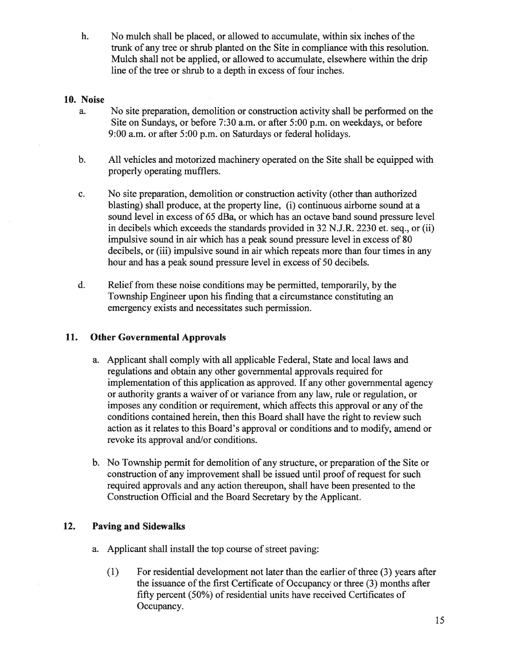h. No mulch shall be placed, or allowed to accumulate, within six inches of the trunk of any tree or shrub planted on the Site in compliance with this resolution. Mulch shall not be applied, or allowed to accumulate, elsewhere within the drip line of the tree or shrub to <sup>a</sup> depth in excess of four inches.

### 10. Noise

- a. No site preparation, demolition or construction activity shall be performed on the Site on Sundays, or before 7:30 a.m. or after 5:00 p.m. on weekdays, or before 9:00 a.m. or after 5:00 p.m. on Saturdays or federal holidays.
- b. All vehicles and motorized machinery operated on the Site shall be equipped with properly operating mufflers.
- c. No site preparation, demolition or construction activity (other than authorized blasting) shall produce, at the property line, (i) continuous airborne sound at <sup>a</sup> sound level in excess of 65 dBa, or which has an octave band sound pressure level in decibels which exceeds the standards provided in 32 N.J.R. 2230 et. seq., or (ii) impulsive sound in air which has <sup>a</sup> peak sound pressure level in excess of 80 decibels, or (iii) impulsive sound in air which repeats more than four times in any hour and has <sup>a</sup> peak sound pressure level in excess of 50 decibels.
- d. Relief from these noise conditions may be permitted, temporarily, by the Township Engineer upon his finding that <sup>a</sup> circumstance constituting an emergency exists and necessitates such permission.

## 11. Other Governmental Approvals

- a. Applicant shall comply with all applicable Federal, State and local laws and regulations and obtain any other governmental approvals required for implementation ofthis application as approved. If any other governmental agency or authority grants <sup>a</sup> waiver of or variance from any law, rule or regulation, or imposes any condition or requirement, which affects this approval or any of the conditions contained herein, then this Board shall have the right to review such action as it relates to this Board's approval or conditions and to modify, amend or revoke its approval and/or conditions.
- b. No Township permit for demolition of any structure, or preparation of the Site or construction of any improvement shall be issued until proof of reques<sup>t</sup> for such required approvals and any action thereupon, shall have been presented to the Construction Official and the Board Secretary by the Applicant.

# 12. Paving and Sidewalks

- a. Applicant shall install the top course of street paving:
	- (1) For residential development not later than the earlier of three  $(3)$  years after the issuance of the first Certificate of Occupancy or three (3) months after fifty percen<sup>t</sup> (50%) of residential units have received Certificates of Occupancy.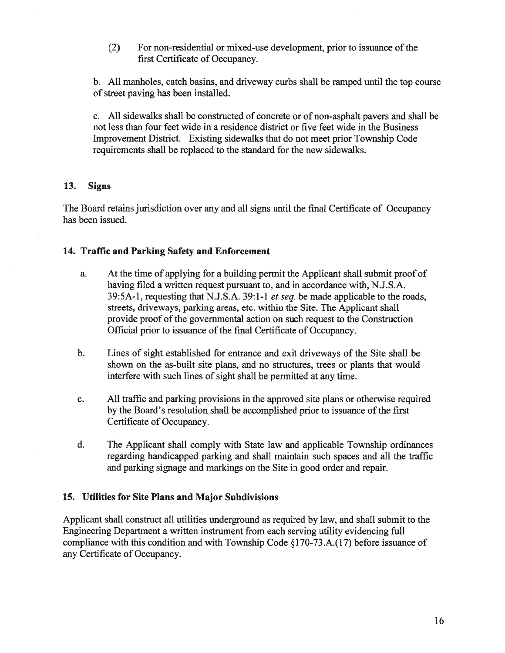(2) For non-residential or mixed-use development, prior to issuance of the first Certificate of Occupancy.

b. All manholes, catch basins, and driveway curbs shall be ramped until the top course of street paving has been installed.

c. All sidewalks shall be constructed of concrete or of non-asphalt payers and shall be not less than four feet wide in <sup>a</sup> residence district or five feet wide in the Business Improvement District. Existing sidewalks that do not meet prior Township Code requirements shall be replaced to the standard for the new sidewalks.

## 13. Signs

The Board retains jurisdiction over any and all signs until the final Certificate of Occupancy has been issued.

# 14. Traffic and Parking Safety and Enforcement

- a. At the time of applying for <sup>a</sup> building permit the Applicant shall submit proof of having filed <sup>a</sup> written reques<sup>t</sup> pursuan<sup>t</sup> to, and in accordance with, N.J.S.A. 39:5A-1, requesting that N.J.S.A. 39:1-1 et seq. be made applicable to the roads, streets, driveways, parking areas, etc. within the Site. The Applicant shall provide proof of the governmental action on such reques<sup>t</sup> to the Construction Official prior to issuance of the final Certificate of Occupancy.
- b. Lines of sight established for entrance and exit driveways of the Site shall be shown on the as-built site plans, and no structures, trees or plants that would interfere with such lines of sight shall be permitted at any time.
- c. All traffic and parking provisions in the approved site plans or otherwise required by the Board's resolution shall be accomplished prior to issuance of the first Certificate of Occupancy.
- d. The Applicant shall comply with State law and applicable Township ordinances regarding handicapped parking and shall maintain such spaces and all the traffic and parking signage and markings on the Site in good order and repair.

# 15. Utilities for Site Plans and Major Subdivisions

Applicant shall construct all utilities underground as required by law, and shall submit to the Engineering Department <sup>a</sup> written instrument from each serving utility evidencing full compliance with this condition and with Township Code §170-73.A.(17) before issuance of any Certificate of Occupancy.